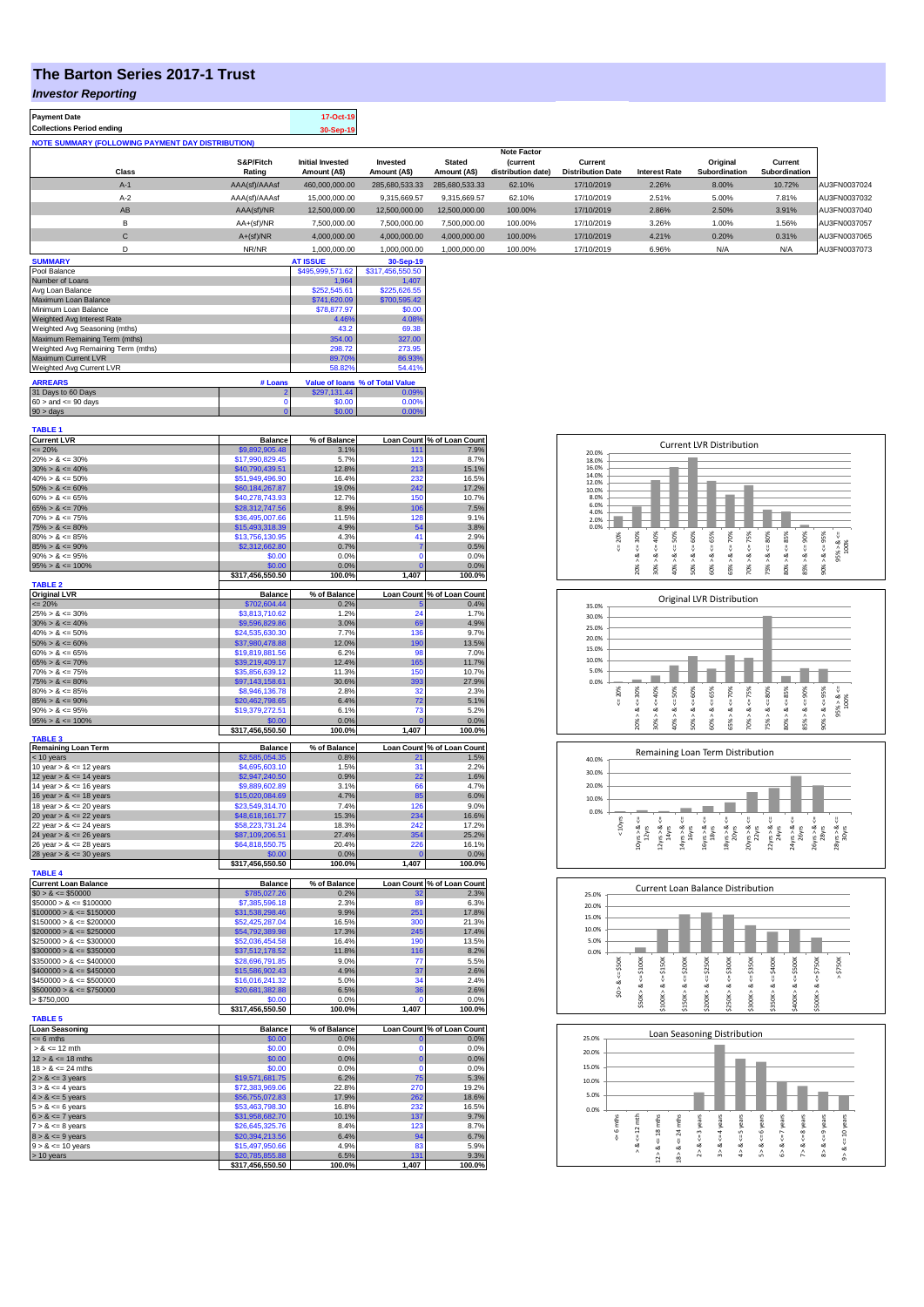## **The Barton Series 2017-1 Trust**

## *Investor Reporting*

| 17-Oct-19 |
|-----------|
| 30-Sep-19 |
|           |

|             |               |                         |                |                | 11000 1 QUIVI      |                          |                      |               |               |              |
|-------------|---------------|-------------------------|----------------|----------------|--------------------|--------------------------|----------------------|---------------|---------------|--------------|
|             | S&P/Fitch     | <b>Initial Invested</b> | Invested       | <b>Stated</b>  | <b>(current</b>    | Current                  |                      | Original      | Current       |              |
| Class       | Rating        | Amount (A\$)            | Amount (A\$)   | Amount (A\$)   | distribution date) | <b>Distribution Date</b> | <b>Interest Rate</b> | Subordination | Subordination |              |
| $A-1$       | AAA(sf)/AAAsf | 460,000,000.00          | 285.680.533.33 | 285.680.533.33 | 62.10%             | 17/10/2019               | 2.26%                | 8.00%         | 10.72%        | AU3FN0037024 |
| $A-2$       | AAA(sf)/AAAsf | 15,000,000.00           | 9.315.669.57   | 9,315,669.57   | 62.10%             | 17/10/2019               | 2.51%                | 5.00%         | 7.81%         | AU3FN0037032 |
| AB          | AAA(sf)/NR    | 12,500,000.00           | 12.500.000.00  | 12,500,000.00  | 100.00%            | 17/10/2019               | 2.86%                | 2.50%         | 3.91%         | AU3FN0037040 |
|             | $AA+(sf)/NR$  | 7.500.000.00            | 7.500.000.00   | 7.500.000.00   | 100.00%            | 17/10/2019               | 3.26%                | 1.00%         | 1.56%         | AU3FN0037057 |
| $\sim$<br>U | $A+(sf)/NR$   | 4,000,000.00            | 4,000,000.00   | 4,000,000.00   | 100.00%            | 17/10/2019               | 4.21%                | 0.20%         | 0.31%         | AU3FN0037065 |
|             | NR/NR         | 1.000.000.00            | 1.000.000.00   | 1.000.000.00   | 100.00%            | 17/10/2019               | 6.96%                | N/A           | N/F           | AU3FN0037073 |

**Note Factor** 

| <b>SUMMARY</b>                     |         | <b>AT ISSUE</b>  | 30-Sep-19                       |
|------------------------------------|---------|------------------|---------------------------------|
| Pool Balance                       |         | \$495,999,571.62 | \$317,456,550.50                |
| Number of Loans                    |         | 1.964            | 1.407                           |
| Avg Loan Balance                   |         | \$252,545.61     | \$225,626.55                    |
| Maximum Loan Balance               |         | \$741,620.09     | \$700.595.42                    |
| Minimum Loan Balance               |         | \$78,877.97      | \$0.00                          |
| Weighted Avg Interest Rate         |         | 4.46%            | 4.08%                           |
| Weighted Avg Seasoning (mths)      |         | 43.2             | 69.38                           |
| Maximum Remaining Term (mths)      |         | 354.00           | 327.00                          |
| Weighted Avg Remaining Term (mths) |         | 298.72           | 273.95                          |
| Maximum Current LVR                |         | 89.70%           | 86.93%                          |
| Weighted Avg Current LVR           |         | 58.82%           | 54.41%                          |
| <b>ARREARS</b>                     | # Loans |                  | Value of loans % of Total Value |
| 31 Days to 60 Days                 | 2       | \$297,131.44     | 0.09%                           |
| $60 >$ and $\leq 90$ days          | 0       | \$0.00           | 0.00%                           |
| $90 >$ days                        | 0       | \$0.00           | 0.00%                           |

| <b>TABLE 1</b>                                                                                                                                                                   |                                     |                |                |                            |
|----------------------------------------------------------------------------------------------------------------------------------------------------------------------------------|-------------------------------------|----------------|----------------|----------------------------|
| Current LVR<br><= 20%<br>20% > & <= 30%                                                                                                                                          | Balance                             | % of Balance   |                | Loan Count % of Loan Count |
|                                                                                                                                                                                  | \$9,892,905.48<br>\$17,990,829.45   | 3.1%<br>5.7%   | 111<br>123     | 7.9%<br>8.7%               |
|                                                                                                                                                                                  | \$40,790,439.51                     | 12.8%          | 213            | 15.1%                      |
| $30\% > 8 \le 40\%$<br>$40\% > 8 \le 50\%$                                                                                                                                       | \$51,949,496.90                     | 16.4%          | 232            | 16.5%                      |
| $50\% > 8 \le 60\%$                                                                                                                                                              | \$60,184,267.87                     | 19.0%          | 242            | 17.2%                      |
| $60\% > 8 \le 65\%$                                                                                                                                                              | \$40,278,743.93                     | 12.7%          | 150            | 10.7%                      |
| $65\% > 8 \le 70\%$                                                                                                                                                              | \$28,312,747.56                     | 8.9%           | 106            | 7.5%                       |
| $70\% > 8 \le 75\%$                                                                                                                                                              | \$36,495,007.66                     | 11.5%          | 128            | 9.1%                       |
| $75\% > 8 \le 80\%$                                                                                                                                                              | \$15,493,318.39                     | 4.9%           | 54             | 3.8%                       |
| $80\% > 8 \le 85\%$                                                                                                                                                              | \$13,756,130.95                     | 4.3%           | 41             | 2.9%                       |
| $85\% > 8 \le 90\%$                                                                                                                                                              | \$2,312,662.80                      | 0.7%           | 7              | 0.5%                       |
| $90\% > 8 \le 95\%$                                                                                                                                                              | \$0.00                              | 0.0%           | Ō              | 0.0%                       |
| $95\% > 8 \le 100\%$                                                                                                                                                             | \$0.00                              | 0.0%           | $\overline{0}$ | 0.0%                       |
|                                                                                                                                                                                  | \$317,456,550.50                    | 100.0%         | 1,407          | 100.0%                     |
| <b>TABLE 2</b>                                                                                                                                                                   | <b>Balance</b>                      | % of Balance   |                | Loan Count % of Loan Count |
| control LVR<br>$\leq$ 20%<br>25% > & $\leq$ 30%<br>30% > & $\leq$ 40%<br>40% > & $\leq$ 50%                                                                                      | \$702,604.44                        | 0.2%           |                | 0.4%                       |
|                                                                                                                                                                                  | \$3,813,710.62                      | 1.2%           | 24             | 1.7%                       |
|                                                                                                                                                                                  | \$9,596,829.86                      | 3.0%           | 69             | 4.9%                       |
|                                                                                                                                                                                  | \$24,535,630.30                     | 7.7%           | 136            | 9.7%                       |
| $50\% > 8 \le 60\%$                                                                                                                                                              | \$37,980,478.88                     | 12.0%          | 190            | 13.5%                      |
| $60\% > 8 \le 65\%$                                                                                                                                                              | \$19,819,881.56                     | 6.2%           | <b>QF</b>      | 7.0%                       |
| $65\% > 8 \le 70\%$                                                                                                                                                              | \$39,219,409.17                     | 12.4%          | 165            | 11.7%                      |
| $70\% > 8 \le 75\%$                                                                                                                                                              | \$35,856,639.12                     | 11.3%          | 150            | 10.7%                      |
| $75\% > 8 \le 80\%$                                                                                                                                                              | \$97,143,158.61                     | 30.6%          | 393            | 27.9%                      |
| $80\% > 8 \le 85\%$                                                                                                                                                              | \$8,946,136.78                      | 2.8%           | 32             | 2.3%                       |
| $85\% > 8 \le 90\%$                                                                                                                                                              | \$20,462,798.65                     | 6.4%           | 72             | 5.1%                       |
| $90\% > 8 \le 95\%$                                                                                                                                                              | \$19,379,272.51                     | 6.1%           | 73             | 5.2%                       |
| $95\% > 8 \le 100\%$                                                                                                                                                             | \$0.00                              | 0.0%           | $\overline{0}$ | 0.0%                       |
| TABLE <sub>3</sub>                                                                                                                                                               | \$317,456,550.50                    | 100.0%         | 1,407          | 100.0%                     |
|                                                                                                                                                                                  | <b>Balance</b>                      | % of Balance   |                | Loan Count % of Loan Count |
| Remaining Loan Term<br>$<$ 10 years<br>10 year > $\&$ <= 12 years                                                                                                                | \$2,585,054.35                      | 0.8%           | 21             | 1.5%                       |
|                                                                                                                                                                                  | \$4,695,603.10                      | 1.5%           | 31             | 2.2%                       |
| 12 year $> 8 \le 14$ years                                                                                                                                                       | \$2,947,240.50                      | 0.9%           | 22             | 1.6%                       |
| 14 year $> 8 \le 16$ years                                                                                                                                                       | \$9,889,602.89                      | 3.1%           | 66             | 4.7%                       |
| 16 year $> 8 \le 18$ years                                                                                                                                                       | \$15,020,084.69                     | 4.7%           | 85             | 6.0%                       |
| 18 year $> 8 \le 20$ years                                                                                                                                                       | \$23,549,314.70                     | 7.4%           | 126            | 9.0%                       |
|                                                                                                                                                                                  | \$48,618,161.77                     | 15.3%          | 234            | 16.6%                      |
|                                                                                                                                                                                  | \$58,223,731.24                     | 18.3%          | 242            | 17.2%                      |
|                                                                                                                                                                                  | \$87,109,206.51                     | 27.4%          | 354            | 25.2%                      |
|                                                                                                                                                                                  | \$64,818,550.75                     | 20.4%          | 226            | 16.1%                      |
| 20 year > $8 \le 22$ years<br>22 year > $8 \le 22$ years<br>22 year > $8 \le 24$ years<br>24 year > $8 \le 26$ years<br>26 year > $8 \le 28$ years<br>28 year > $8 \le 30$ years | \$0.00                              | 0.0%           | C              | 0.0%                       |
| <b>TABLE 4</b>                                                                                                                                                                   | \$317,456,550.50                    | 100.0%         | 1,407          | 100.0%                     |
|                                                                                                                                                                                  | <b>Balance</b>                      | % of Balance   |                | Loan Count % of Loan Count |
| Current Loan Balance<br>$$0 > 8 \le $50000$<br>$$50000 > 8 \le $100000$                                                                                                          | \$785,027.26                        | 0.2%           | 32             | 2.3%                       |
|                                                                                                                                                                                  | \$7,385,596.18                      | 2.3%           | 89             | 6.3%                       |
| $$100000 > 8 \le $150000$                                                                                                                                                        | \$31,538,298.46                     | 9.9%           | 251            | 17.8%                      |
| $$150000 > 8 \le $200000$<br>$$200000 > 8 \le $250000$                                                                                                                           | \$52,425,287.04                     | 16.5%          | 300            | 21.3%                      |
|                                                                                                                                                                                  | \$54,792,389.98                     | 17.3%          | 245            | 17.4%                      |
| $$250000 > 8 \le $300000$                                                                                                                                                        | \$52,036,454.58                     | 16.4%          | 190            | 13.5%                      |
| $$300000 > 8 \leq $350000$                                                                                                                                                       | \$37,512,178.52                     | 11.8%          | 116            | 8.2%                       |
| $$350000 > 8 \le $400000$                                                                                                                                                        | \$28,696,791.85                     | 9.0%           | 77             | 5.5%                       |
| $$400000 > 8 \le $450000$                                                                                                                                                        | \$15,586,902.43                     | 4.9%           | 37             | 2.6%                       |
| $$450000 > 8 \le $500000$                                                                                                                                                        | \$16,016,241.32                     | 5.0%           | 34             | 2.4%                       |
| $$500000 > 8 \le $750000$                                                                                                                                                        | \$20,681,382.88                     | 6.5%           | 36<br>Ō        | 2.6%                       |
| > \$750,000                                                                                                                                                                      | \$0.00<br>\$317,456,550.50          | 0.0%<br>100.0% | 1,407          | 0.0%<br>100.0%             |
| <b>TABLE 5</b>                                                                                                                                                                   |                                     |                |                |                            |
|                                                                                                                                                                                  | <b>Balance</b>                      | % of Balance   |                | Loan Count % of Loan Count |
| Loan Seasoning<br>$\leq 6$ mths                                                                                                                                                  | \$0.00                              | 0.0%           | 0              | 0.0%                       |
| $> 8 \le 12$ mth                                                                                                                                                                 | \$0.00                              | 0.0%           | 0              | 0.0%                       |
| $12 > 8 \le 18 \text{ mths}$<br>$18 > 8 \le 24 \text{ mths}$                                                                                                                     | \$0.00                              | 0.0%           | 0              | 0.0%                       |
|                                                                                                                                                                                  | \$0.00                              | 0.0%           | O              | 0.0%                       |
|                                                                                                                                                                                  | \$19,571,681.75                     | 6.2%           | 75             | 5.3%                       |
|                                                                                                                                                                                  | \$72,383,969.06                     | 22.8%          | 270            | 19.2%                      |
|                                                                                                                                                                                  | \$56,755,072.83                     | 17.9%          | 262            | 18.6%                      |
|                                                                                                                                                                                  | \$53,463,798.30                     | 16.8%          | 232            | 16.5%                      |
| $18 > 8 \le 24$ mm<br>$2 > 8 \le 3$ years<br>$3 > 8 \le 4$ years<br>$4 > 8 \le 5$ years<br>$5 > 8 \le 6$ years<br>$6 > 8 \le 7$ years                                            | \$31,958,682.70                     | 10.1%          | 137            | 9.7%                       |
| $7 > 8 \le 8$ years                                                                                                                                                              | \$26,645,325.76                     | 8.4%           | 123            | 8.7%                       |
| $8 > 8 \le 9$ years                                                                                                                                                              | \$20,394,213.56                     | 6.4%           | 94             | 6.7%                       |
| $9 > 8 \le 10$ years<br>> 10 years                                                                                                                                               | \$15,497,950.66                     | 4.9%           | 83             | 5.9%                       |
|                                                                                                                                                                                  | \$20,785,855.88<br>\$317,456,550.50 | 6.5%<br>100.0% | 131<br>1.407   | 9.3%<br>100.0%             |
|                                                                                                                                                                                  |                                     |                |                |                            |

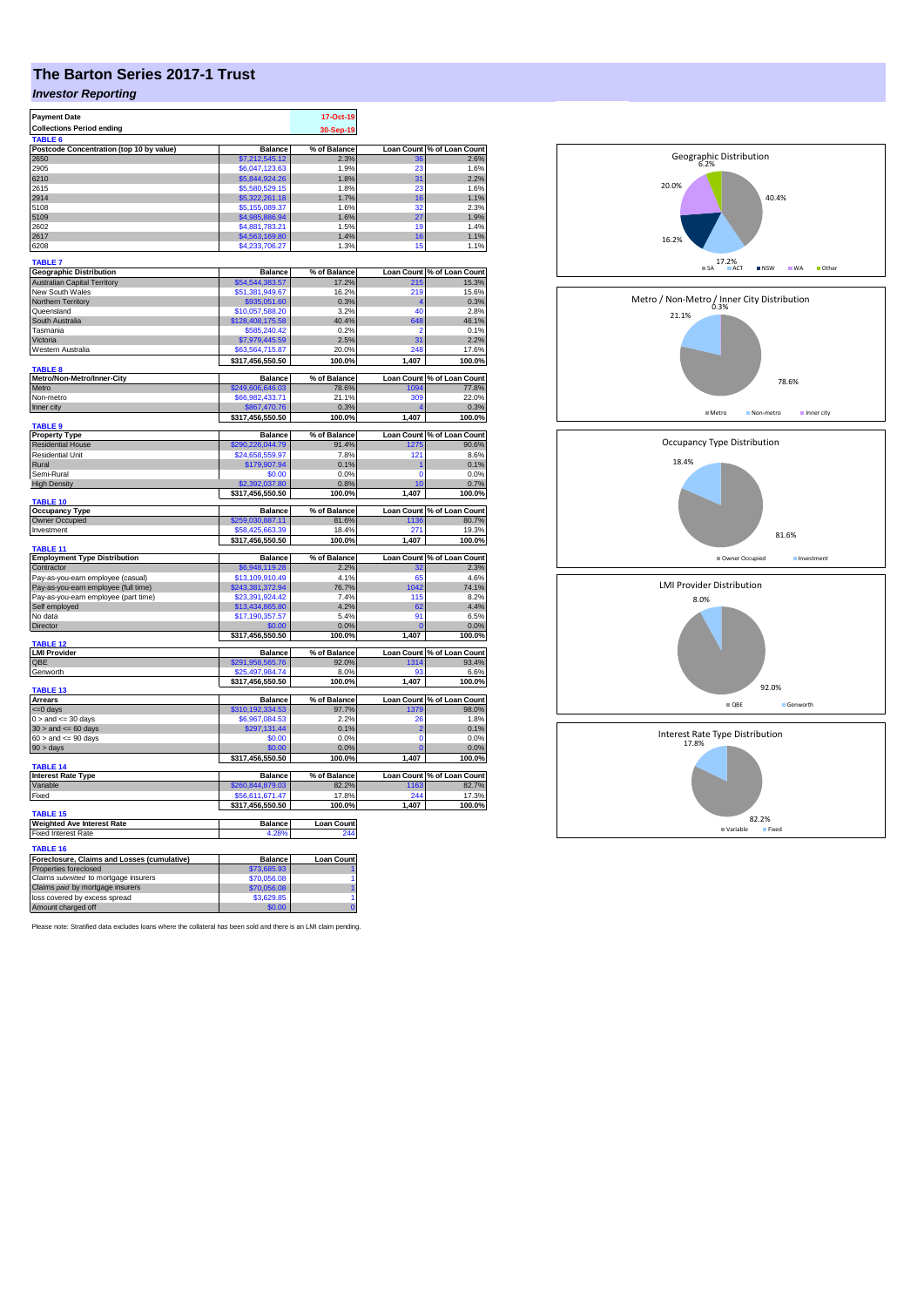# **The Barton Series 2017-1 Trust**

## *Investor Reporting*

| <b>Payment Date</b>                                 |                      | 17-Oct-19             |                |                            |
|-----------------------------------------------------|----------------------|-----------------------|----------------|----------------------------|
| <b>Collections Period ending</b>                    |                      |                       |                |                            |
|                                                     |                      | 30-Sep-19             |                |                            |
| <b>TABLE</b>                                        |                      |                       |                |                            |
| Postcode Concentration (top 10 by value)            | <b>Balance</b>       | % of Balance          |                | Loan Count % of Loan Count |
| 2650                                                | \$7,212,545.12       | 2.3%                  | 36             | 2.6%                       |
| 2905                                                | \$6,047,123.63       | 1.9%                  | 23             | 1.6%                       |
| 6210                                                | \$5,844,924.26       | 1.8%                  | 31             | 2.2%                       |
| 2615                                                | \$5,580,529.15       | 1.8%                  | 23             | 1.6%                       |
| 2914                                                | \$5,322,261.18       | 1.7%                  | 16             | 1.1%                       |
| 5108                                                | \$5,155,089,37       | 1.6%                  | 32             | 2.3%                       |
| 5109                                                | \$4,985,886.94       | 1.6%                  | 27             | 1.9%                       |
| 2602                                                | \$4,881,783.21       | 1.5%                  | 10             | 1.4%                       |
| 2617                                                | \$4,563,169.80       | 1.4%                  | 16             | 1.1%                       |
|                                                     |                      |                       |                |                            |
| 6208                                                | \$4,233,706.27       | 1.3%                  | 15             | 1.1%                       |
| <b>TABLE 7</b>                                      |                      |                       |                |                            |
| <b>Geographic Distribution</b>                      |                      |                       |                | Loan Count % of Loan Count |
| <b>Australian Capital Territory</b>                 | <b>Balance</b>       | % of Balance<br>17.2% | 215            | 15.3%                      |
|                                                     | \$54,544,383.57      |                       |                |                            |
| New South Wales                                     | \$51,381,949.67      | 16.2%                 | 219            | 15.6%                      |
| <b>Northern Territory</b>                           | \$935,051.60         | 0.3%                  |                | 0.3%                       |
| Queensland                                          | \$10,057,588.20      | 3.2%                  | 40             | 2.8%                       |
| South Australia                                     | \$128,408,175.58     | 40.4%                 | 648            | 46.1%                      |
| Tasmania                                            | \$585,240.42         | 0.2%                  | $\overline{2}$ | 0.1%                       |
| Victoria                                            | \$7,979,445.59       | 2.5%                  | 31             | 2.2%                       |
| Western Australia                                   | \$63,564,715,87      | 20.0%                 | 248            | 17.6%                      |
|                                                     | \$317,456,550.50     | 100.0%                | 1,407          | 100.0%                     |
| <b>TABLE 8</b>                                      |                      |                       |                |                            |
| Metro/Non-Metro/Inner-City                          | <b>Balance</b>       | % of Balance          |                | Loan Count % of Loan Count |
| Metro                                               | \$249,606,646.03     | 78.6%                 | 1094           | 77.8%                      |
| Non-metro                                           | \$66,982,433.71      | 21.1%                 | 309            | 22.0%                      |
|                                                     |                      |                       |                |                            |
| Inner city                                          | \$867,470.76         | 0.3%                  |                | 0.3%                       |
|                                                     | \$317,456,550.50     | 100.0%                | 1,407          | 100.0%                     |
| TABLE <sub>9</sub>                                  |                      |                       |                |                            |
| <b>Property Type</b>                                | <b>Balance</b>       | % of Balance          |                | Loan Count % of Loan Count |
| <b>Residential House</b>                            | \$290,226,044.79     | 91.4%                 | 1275           | 90.6%                      |
| Residential Unit                                    | \$24,658,559.97      | 7.8%                  | 121            | 8.6%                       |
| Rural                                               | \$179,907.94         | 0.1%                  | 1              | 0.1%                       |
| Semi-Rural                                          | \$0.00               | 0.0%                  | 0              | 0.0%                       |
| <b>High Density</b>                                 | \$2,392,037.80       | 0.8%                  | 10             | 0.7%                       |
|                                                     | \$317,456,550.50     | 100.0%                | 1,407          | 100.0%                     |
| TABLE 10                                            |                      |                       |                |                            |
| <b>Occupancy Type</b>                               | Balance              | % of Balance          |                | Loan Count % of Loan Count |
| Owner Occupied                                      | \$259,030,887.11     | 81.6%                 | 1136           | 80.7%                      |
| Investment                                          | \$58,425,663,39      | 18.4%                 | 271            | 19.3%                      |
|                                                     |                      |                       |                |                            |
| TABLE <sub>11</sub>                                 | \$317,456,550.50     | 100.0%                | 1,407          | 100.0%                     |
|                                                     |                      |                       |                |                            |
| <b>Employment Type Distribution</b>                 | Balance              | % of Balance          |                | Loan Count % of Loan Count |
| Contractor                                          | \$6,948,119.28       | 2.2%                  | 32             | 2.3%                       |
| Pay-as-you-earn employee (casual)                   | \$13,109,910.49      | 4.1%                  | 65             | 4.6%                       |
| Pay-as-you-earn employee (full time)                | \$243,381,372.94     | 76.7%                 |                | 74.1%                      |
| Pay-as-you-earn employee (part time)                |                      |                       | 1042           |                            |
|                                                     | \$23,391,924.42      | 7.4%                  | 115            | 8.2%                       |
|                                                     |                      |                       |                |                            |
| Self employed                                       | \$13,434,865.80      | 4.2%                  | 62             | 4.4%                       |
| No data                                             | \$17,190,357.57      | 5.4%                  | 91             | 6.5%                       |
| Director                                            | \$0.00               | 0.0%                  |                | 0.0%                       |
|                                                     | \$317,456,550.50     | 100.0%                | 1,407          | 100.0%                     |
| <b>TABLE 12</b>                                     |                      |                       |                |                            |
| <b>LMI Provider</b>                                 | <b>Balance</b>       | % of Balance          |                | Loan Count % of Loan Count |
| OBE                                                 | \$291.958.565.76     | 92.0%                 | 1314           | 93.4%                      |
| Genworth                                            | \$25,497,984.74      | 8.0%                  | q.             | 6.6%                       |
|                                                     | \$317,456,550.50     | 100.0%                | 1,407          | 100.0%                     |
| TABLE 13                                            |                      |                       |                |                            |
| <b>Arrears</b>                                      | <b>Balance</b>       | % of Balance          |                | Loan Count % of Loan Count |
| <= 0 days                                           | \$310,192,334.53     | 97.7%                 | 1379           | 98.0%                      |
| $0 >$ and $\leq$ 30 days                            | \$6,967,084.53       | 2.2%                  | 26             | 1.8%                       |
| $30$ > and <= 60 days                               | \$297,131.44         | 0.1%                  | $\overline{2}$ | 0.1%                       |
| $60 >$ and $\leq 90$ days                           | \$0.00               | 0.0%                  | $\Omega$       | 0.0%                       |
| 90 > days                                           | \$0.00               | 0.0%                  |                | 0.0%                       |
|                                                     | \$317,456,550.50     | 100.0%                | 1,407          |                            |
| TABLE <sub>14</sub>                                 |                      |                       |                | 100.0%                     |
|                                                     |                      |                       |                |                            |
| <b>Interest Rate Type</b>                           | <b>Balance</b>       | % of Balance          |                | Loan Count % of Loan Count |
| Variable                                            | \$260,844,879.03     | 82.2%                 | 1163           | 82.7%                      |
| Fixed                                               | \$56,611,671.47      | 17.8%                 | 244            | 17.3%                      |
|                                                     | \$317,456,550.50     | 100.0%                | 1,407          | 100.0%                     |
| TABLE <sub>15</sub>                                 |                      |                       |                |                            |
| <b>Weighted Ave Interest Rate</b>                   | Balance              | <b>Loan Count</b>     |                |                            |
| <b>Fixed Interest Rate</b>                          | 4.28%                | 244                   |                |                            |
|                                                     |                      |                       |                |                            |
| TABLE 16                                            |                      |                       |                |                            |
| Foreclosure, Claims and Losses (cumulative)         | <b>Balance</b>       | <b>Loan Count</b>     |                |                            |
| Properties foreclosed                               | \$73,685,93          |                       |                |                            |
| Claims submitted to mortgage insurers               | \$70,056,08          | 1                     |                |                            |
| Claims paid by mortgage insurers                    | \$70,056.08          | 1                     |                |                            |
| loss covered by excess spread<br>Amount charged off | \$3,629.85<br>\$0.00 | 1<br>$\Omega$         |                |                            |

Please note: Stratified data excludes loans where the collateral has been sold and there is an LMI claim pending.